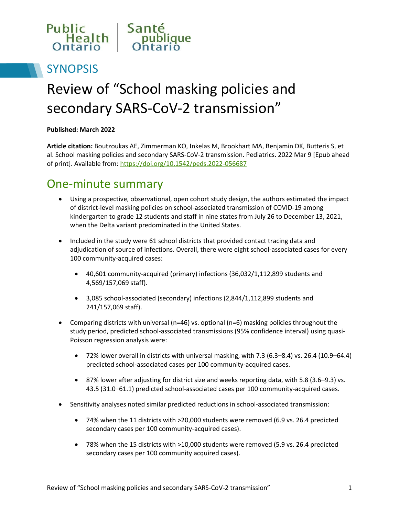

### SYNOPSIS

# Review of "School masking policies and secondary SARS-CoV-2 transmission"

**Published: March 2022**

**Article citation:** Boutzoukas AE, Zimmerman KO, Inkelas M, Brookhart MA, Benjamin DK, Butteris S, et al. School masking policies and secondary SARS-CoV-2 transmission. Pediatrics. 2022 Mar 9 [Epub ahead of print]. Available from:<https://doi.org/10.1542/peds.2022-056687>

#### One-minute summary

- Using a prospective, observational, open cohort study design, the authors estimated the impact of district-level masking policies on school-associated transmission of COVID-19 among kindergarten to grade 12 students and staff in nine states from July 26 to December 13, 2021, when the Delta variant predominated in the United States.
- Included in the study were 61 school districts that provided contact tracing data and adjudication of source of infections. Overall, there were eight school-associated cases for every 100 community-acquired cases:
	- 40,601 community-acquired (primary) infections (36,032/1,112,899 students and 4,569/157,069 staff).
	- 3,085 school-associated (secondary) infections (2,844/1,112,899 students and 241/157,069 staff).
- Comparing districts with universal (n=46) vs. optional (n=6) masking policies throughout the study period, predicted school-associated transmissions (95% confidence interval) using quasi-Poisson regression analysis were:
	- 72% lower overall in districts with universal masking, with 7.3 (6.3–8.4) vs. 26.4 (10.9–64.4) predicted school-associated cases per 100 community-acquired cases.
	- 87% lower after adjusting for district size and weeks reporting data, with 5.8 (3.6–9.3) vs. 43.5 (31.0–61.1) predicted school-associated cases per 100 community-acquired cases.
- Sensitivity analyses noted similar predicted reductions in school-associated transmission:
	- 74% when the 11 districts with >20,000 students were removed (6.9 vs. 26.4 predicted secondary cases per 100 community-acquired cases).
	- 78% when the 15 districts with >10,000 students were removed (5.9 vs. 26.4 predicted secondary cases per 100 community acquired cases).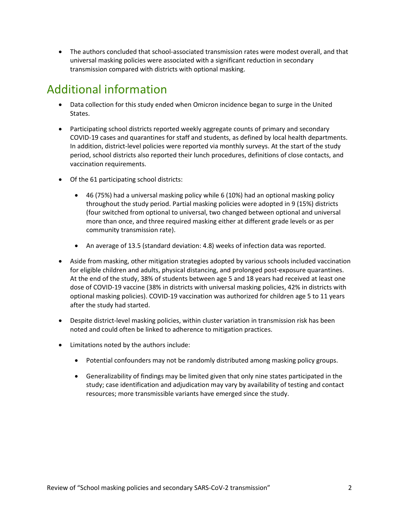The authors concluded that school-associated transmission rates were modest overall, and that universal masking policies were associated with a significant reduction in secondary transmission compared with districts with optional masking.

### Additional information

- Data collection for this study ended when Omicron incidence began to surge in the United States.
- Participating school districts reported weekly aggregate counts of primary and secondary COVID-19 cases and quarantines for staff and students, as defined by local health departments. In addition, district-level policies were reported via monthly surveys. At the start of the study period, school districts also reported their lunch procedures, definitions of close contacts, and vaccination requirements.
- Of the 61 participating school districts:
	- 46 (75%) had a universal masking policy while 6 (10%) had an optional masking policy throughout the study period. Partial masking policies were adopted in 9 (15%) districts (four switched from optional to universal, two changed between optional and universal more than once, and three required masking either at different grade levels or as per community transmission rate).
	- An average of 13.5 (standard deviation: 4.8) weeks of infection data was reported.
- Aside from masking, other mitigation strategies adopted by various schools included vaccination for eligible children and adults, physical distancing, and prolonged post-exposure quarantines. At the end of the study, 38% of students between age 5 and 18 years had received at least one dose of COVID-19 vaccine (38% in districts with universal masking policies, 42% in districts with optional masking policies). COVID-19 vaccination was authorized for children age 5 to 11 years after the study had started.
- Despite district-level masking policies, within cluster variation in transmission risk has been noted and could often be linked to adherence to mitigation practices.
- Limitations noted by the authors include:
	- Potential confounders may not be randomly distributed among masking policy groups.
	- Generalizability of findings may be limited given that only nine states participated in the study; case identification and adjudication may vary by availability of testing and contact resources; more transmissible variants have emerged since the study.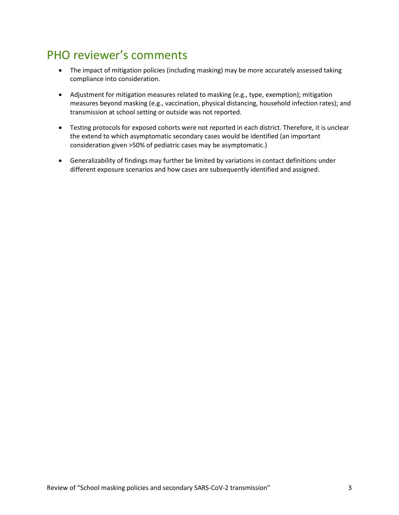## PHO reviewer's comments

- The impact of mitigation policies (including masking) may be more accurately assessed taking compliance into consideration.
- Adjustment for mitigation measures related to masking (e.g., type, exemption); mitigation measures beyond masking (e.g., vaccination, physical distancing, household infection rates); and transmission at school setting or outside was not reported.
- Testing protocols for exposed cohorts were not reported in each district. Therefore, it is unclear the extend to which asymptomatic secondary cases would be identified (an important consideration given >50% of pediatric cases may be asymptomatic.)
- Generalizability of findings may further be limited by variations in contact definitions under different exposure scenarios and how cases are subsequently identified and assigned.